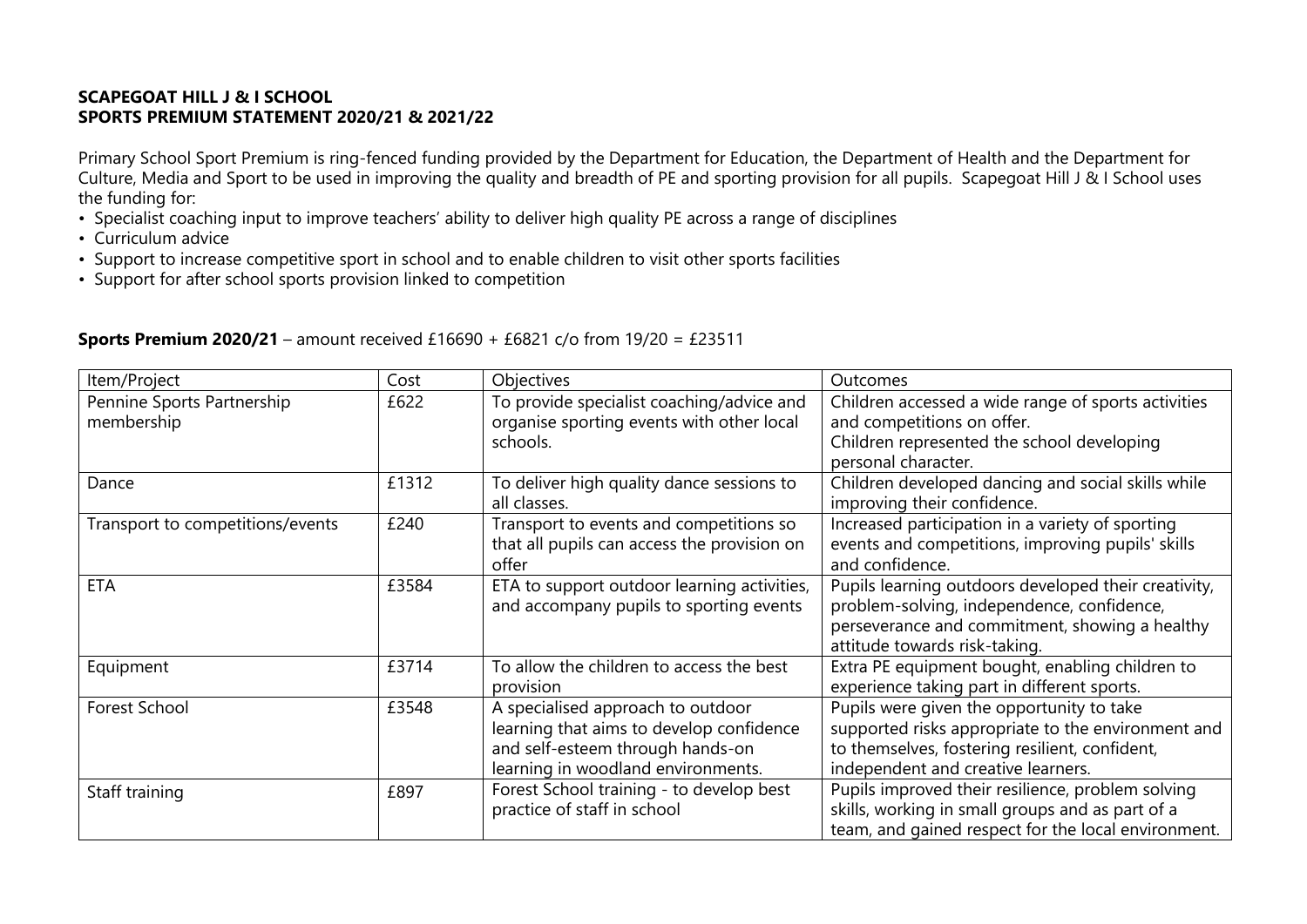## **SCAPEGOAT HILL J & I SCHOOL SPORTS PREMIUM STATEMENT 2020/21 & 2021/22**

Primary School Sport Premium is ring-fenced funding provided by the Department for Education, the Department of Health and the Department for Culture, Media and Sport to be used in improving the quality and breadth of PE and sporting provision for all pupils. Scapegoat Hill J & I School uses the funding for:

- Specialist coaching input to improve teachers' ability to deliver high quality PE across a range of disciplines
- Curriculum advice
- Support to increase competitive sport in school and to enable children to visit other sports facilities
- Support for after school sports provision linked to competition

| Item/Project                             | Cost  | <b>Objectives</b>                                                                                                                                       | Outcomes                                                                                                                                                                                |
|------------------------------------------|-------|---------------------------------------------------------------------------------------------------------------------------------------------------------|-----------------------------------------------------------------------------------------------------------------------------------------------------------------------------------------|
| Pennine Sports Partnership<br>membership | £622  | To provide specialist coaching/advice and<br>organise sporting events with other local                                                                  | Children accessed a wide range of sports activities<br>and competitions on offer.                                                                                                       |
|                                          |       | schools.                                                                                                                                                | Children represented the school developing<br>personal character.                                                                                                                       |
| Dance                                    | £1312 | To deliver high quality dance sessions to<br>all classes.                                                                                               | Children developed dancing and social skills while<br>improving their confidence.                                                                                                       |
| Transport to competitions/events         | £240  | Transport to events and competitions so<br>that all pupils can access the provision on<br>offer                                                         | Increased participation in a variety of sporting<br>events and competitions, improving pupils' skills<br>and confidence.                                                                |
| <b>ETA</b>                               | £3584 | ETA to support outdoor learning activities,<br>and accompany pupils to sporting events                                                                  | Pupils learning outdoors developed their creativity,<br>problem-solving, independence, confidence,<br>perseverance and commitment, showing a healthy<br>attitude towards risk-taking.   |
| Equipment                                | £3714 | To allow the children to access the best<br>provision                                                                                                   | Extra PE equipment bought, enabling children to<br>experience taking part in different sports.                                                                                          |
| Forest School                            | £3548 | A specialised approach to outdoor<br>learning that aims to develop confidence<br>and self-esteem through hands-on<br>learning in woodland environments. | Pupils were given the opportunity to take<br>supported risks appropriate to the environment and<br>to themselves, fostering resilient, confident,<br>independent and creative learners. |
| Staff training                           | £897  | Forest School training - to develop best<br>practice of staff in school                                                                                 | Pupils improved their resilience, problem solving<br>skills, working in small groups and as part of a<br>team, and gained respect for the local environment.                            |

## **Sports Premium 2020/21** – amount received £16690 + £6821 c/o from 19/20 = £23511